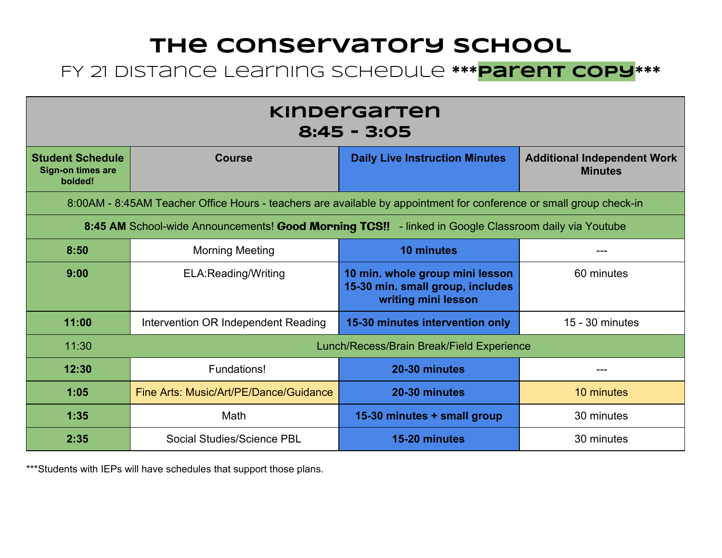### **The Conservatory School** FY 21 Distance Learning Schedule **\*\*\*Parent Copy\*\*\***

| <u>kinbergarten</u><br>8:45 - 3:05                                                                                  |                                             |                                                                                            |                                                      |  |
|---------------------------------------------------------------------------------------------------------------------|---------------------------------------------|--------------------------------------------------------------------------------------------|------------------------------------------------------|--|
| <b>Student Schedule</b><br>Sign-on times are<br>bolded!                                                             | <b>Course</b>                               | <b>Daily Live Instruction Minutes</b>                                                      | <b>Additional Independent Work</b><br><b>Minutes</b> |  |
| 8:00AM - 8:45AM Teacher Office Hours - teachers are available by appointment for conference or small group check-in |                                             |                                                                                            |                                                      |  |
| 8:45 AM School-wide Announcements! Good Morning TCS!! - linked in Google Classroom daily via Youtube                |                                             |                                                                                            |                                                      |  |
| 8:50                                                                                                                | <b>Morning Meeting</b><br><b>10 minutes</b> |                                                                                            |                                                      |  |
| 9:00                                                                                                                | ELA:Reading/Writing                         | 10 min. whole group mini lesson<br>15-30 min. small group, includes<br>writing mini lesson | 60 minutes                                           |  |
| 11:00                                                                                                               | Intervention OR Independent Reading         | 15-30 minutes intervention only                                                            | 15 - 30 minutes                                      |  |
| 11:30                                                                                                               |                                             | Lunch/Recess/Brain Break/Field Experience                                                  |                                                      |  |
| 12:30                                                                                                               | Fundations!                                 | 20-30 minutes                                                                              |                                                      |  |
| 1:05                                                                                                                | Fine Arts: Music/Art/PE/Dance/Guidance      | 20-30 minutes                                                                              | 10 minutes                                           |  |
| 1:35                                                                                                                | Math                                        | 15-30 minutes + small group                                                                | 30 minutes                                           |  |
| 2:35                                                                                                                | Social Studies/Science PBL                  | 15-20 minutes                                                                              | 30 minutes                                           |  |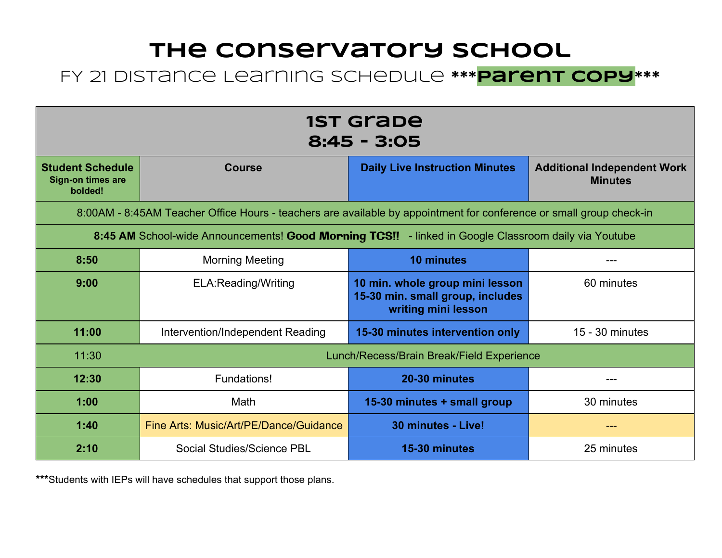#### FY 21 Distance Learning Schedule **\*\*\*Parent Copy\*\*\***

| <b>1ST Grabe</b><br>$8:45 - 3:05$                                                                    |                                                                                                                     |                                                                                            |                                                      |  |
|------------------------------------------------------------------------------------------------------|---------------------------------------------------------------------------------------------------------------------|--------------------------------------------------------------------------------------------|------------------------------------------------------|--|
| <b>Student Schedule</b><br><b>Sign-on times are</b><br>bolded!                                       | <b>Course</b>                                                                                                       | <b>Daily Live Instruction Minutes</b>                                                      | <b>Additional Independent Work</b><br><b>Minutes</b> |  |
|                                                                                                      | 8:00AM - 8:45AM Teacher Office Hours - teachers are available by appointment for conference or small group check-in |                                                                                            |                                                      |  |
| 8:45 AM School-wide Announcements! Good Morning TCS!! - linked in Google Classroom daily via Youtube |                                                                                                                     |                                                                                            |                                                      |  |
| 8:50                                                                                                 | <b>Morning Meeting</b><br><b>10 minutes</b>                                                                         |                                                                                            |                                                      |  |
| 9:00                                                                                                 | <b>ELA: Reading/Writing</b>                                                                                         | 10 min. whole group mini lesson<br>15-30 min. small group, includes<br>writing mini lesson | 60 minutes                                           |  |
| 11:00                                                                                                | Intervention/Independent Reading                                                                                    | 15-30 minutes intervention only                                                            | 15 - 30 minutes                                      |  |
| 11:30                                                                                                |                                                                                                                     | Lunch/Recess/Brain Break/Field Experience                                                  |                                                      |  |
| 12:30                                                                                                | Fundations!                                                                                                         | 20-30 minutes                                                                              | ---                                                  |  |
| 1:00                                                                                                 | Math                                                                                                                | 15-30 minutes + small group                                                                | 30 minutes                                           |  |
| 1:40                                                                                                 | Fine Arts: Music/Art/PE/Dance/Guidance                                                                              | 30 minutes - Live!                                                                         | ---                                                  |  |
| 2:10                                                                                                 | Social Studies/Science PBL                                                                                          | 15-30 minutes                                                                              | 25 minutes                                           |  |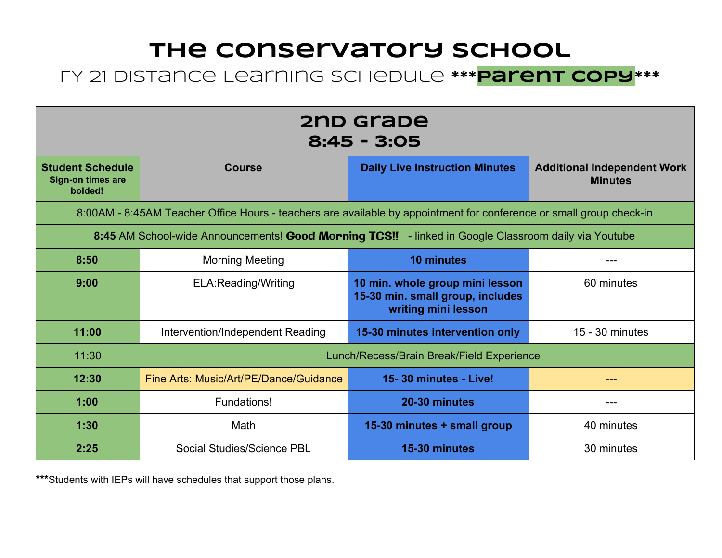#### FY 21 Distance Learning Schedule **\*\*\*Parent copy\*\*\***

| 2nd grabe<br>$8:45 - 3:05$                                                                           |                                                                                                                     |                                                                                            |                                                      |  |
|------------------------------------------------------------------------------------------------------|---------------------------------------------------------------------------------------------------------------------|--------------------------------------------------------------------------------------------|------------------------------------------------------|--|
| <b>Student Schedule</b><br><b>Sign-on times are</b><br>bolded!                                       | <b>Course</b>                                                                                                       | <b>Daily Live Instruction Minutes</b>                                                      | <b>Additional Independent Work</b><br><b>Minutes</b> |  |
|                                                                                                      | 8:00AM - 8:45AM Teacher Office Hours - teachers are available by appointment for conference or small group check-in |                                                                                            |                                                      |  |
| 8:45 AM School-wide Announcements! Good Morning TCS!! - linked in Google Classroom daily via Youtube |                                                                                                                     |                                                                                            |                                                      |  |
| 8:50                                                                                                 | <b>Morning Meeting</b><br><b>10 minutes</b>                                                                         |                                                                                            |                                                      |  |
| 9:00                                                                                                 | ELA: Reading/Writing                                                                                                | 10 min. whole group mini lesson<br>15-30 min. small group, includes<br>writing mini lesson | 60 minutes                                           |  |
| 11:00                                                                                                | Intervention/Independent Reading                                                                                    | 15-30 minutes intervention only                                                            | $15 - 30$ minutes                                    |  |
| 11:30                                                                                                | Lunch/Recess/Brain Break/Field Experience                                                                           |                                                                                            |                                                      |  |
| 12:30                                                                                                | Fine Arts: Music/Art/PE/Dance/Guidance                                                                              | 15-30 minutes - Live!                                                                      | ---                                                  |  |
| 1:00                                                                                                 | Fundations!                                                                                                         | 20-30 minutes                                                                              | ---                                                  |  |
| 1:30                                                                                                 | Math                                                                                                                | 15-30 minutes + small group                                                                | 40 minutes                                           |  |
| 2:25                                                                                                 | Social Studies/Science PBL                                                                                          | 15-30 minutes                                                                              | 30 minutes                                           |  |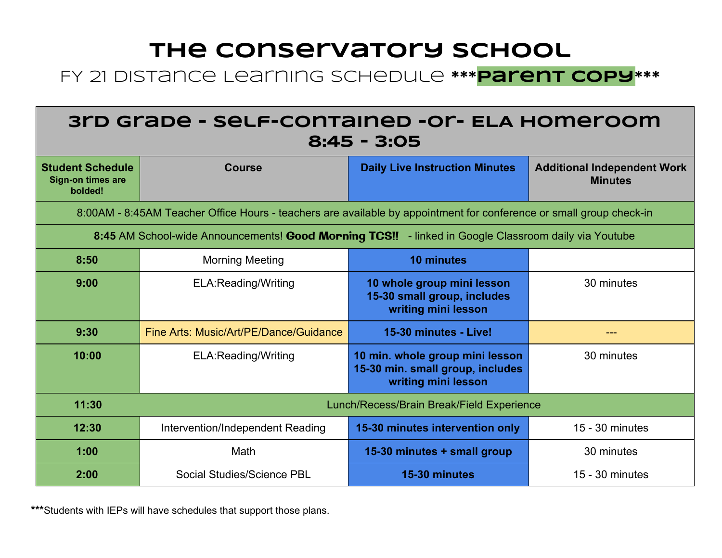#### FY 21 Distance Learning Schedule **\*\*\*Parent copy\*\*\***

| 3rd Grabe - self-contained -or- ELA Homeroom<br>$8:45 - 3:05$                                        |                                                                                                                     |                                                                                            |                                                      |  |
|------------------------------------------------------------------------------------------------------|---------------------------------------------------------------------------------------------------------------------|--------------------------------------------------------------------------------------------|------------------------------------------------------|--|
| <b>Student Schedule</b><br>Sign-on times are<br>bolded!                                              | <b>Course</b>                                                                                                       | <b>Daily Live Instruction Minutes</b>                                                      | <b>Additional Independent Work</b><br><b>Minutes</b> |  |
|                                                                                                      | 8:00AM - 8:45AM Teacher Office Hours - teachers are available by appointment for conference or small group check-in |                                                                                            |                                                      |  |
| 8:45 AM School-wide Announcements! Good Morning TCS!! - linked in Google Classroom daily via Youtube |                                                                                                                     |                                                                                            |                                                      |  |
| 8:50                                                                                                 | <b>Morning Meeting</b>                                                                                              | <b>10 minutes</b>                                                                          |                                                      |  |
| 9:00                                                                                                 | ELA:Reading/Writing                                                                                                 | 10 whole group mini lesson<br>15-30 small group, includes<br>writing mini lesson           | 30 minutes                                           |  |
| 9:30                                                                                                 | Fine Arts: Music/Art/PE/Dance/Guidance                                                                              | 15-30 minutes - Live!                                                                      | $\frac{1}{2}$                                        |  |
| 10:00                                                                                                | ELA:Reading/Writing                                                                                                 | 10 min. whole group mini lesson<br>15-30 min. small group, includes<br>writing mini lesson | 30 minutes                                           |  |
| 11:30                                                                                                |                                                                                                                     | Lunch/Recess/Brain Break/Field Experience                                                  |                                                      |  |
| 12:30                                                                                                | Intervention/Independent Reading                                                                                    | 15-30 minutes intervention only                                                            | 15 - 30 minutes                                      |  |
| 1:00                                                                                                 | Math                                                                                                                | 15-30 minutes + small group                                                                | 30 minutes                                           |  |
| 2:00                                                                                                 | Social Studies/Science PBL                                                                                          | 15-30 minutes                                                                              | 15 - 30 minutes                                      |  |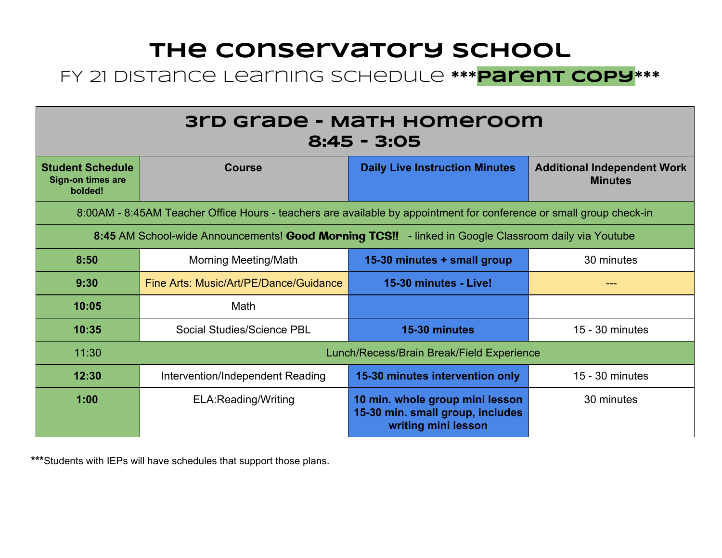#### FY 21 Distance Learning Schedule **\*\*\*Parent copy\*\*\***

| 3rd Grabe - Math Homeroom<br>$8:45 - 3:05$                                                                          |                                        |                                                                                            |                                                      |  |
|---------------------------------------------------------------------------------------------------------------------|----------------------------------------|--------------------------------------------------------------------------------------------|------------------------------------------------------|--|
| <b>Student Schedule</b><br><b>Sign-on times are</b><br>bolded!                                                      | <b>Course</b>                          | <b>Daily Live Instruction Minutes</b>                                                      | <b>Additional Independent Work</b><br><b>Minutes</b> |  |
| 8:00AM - 8:45AM Teacher Office Hours - teachers are available by appointment for conference or small group check-in |                                        |                                                                                            |                                                      |  |
| 8:45 AM School-wide Announcements! Good Morning TCS!! - linked in Google Classroom daily via Youtube                |                                        |                                                                                            |                                                      |  |
| 8:50                                                                                                                | <b>Morning Meeting/Math</b>            | 15-30 minutes + small group                                                                | 30 minutes                                           |  |
| 9:30                                                                                                                | Fine Arts: Music/Art/PE/Dance/Guidance | 15-30 minutes - Live!                                                                      | ---                                                  |  |
| 10:05                                                                                                               | Math                                   |                                                                                            |                                                      |  |
| 10:35                                                                                                               | Social Studies/Science PBL             | 15-30 minutes                                                                              | 15 - 30 minutes                                      |  |
| 11:30                                                                                                               |                                        | Lunch/Recess/Brain Break/Field Experience                                                  |                                                      |  |
| 12:30                                                                                                               | Intervention/Independent Reading       | 15-30 minutes intervention only                                                            | 15 - 30 minutes                                      |  |
| 1:00                                                                                                                | <b>ELA: Reading/Writing</b>            | 10 min. whole group mini lesson<br>15-30 min. small group, includes<br>writing mini lesson | 30 minutes                                           |  |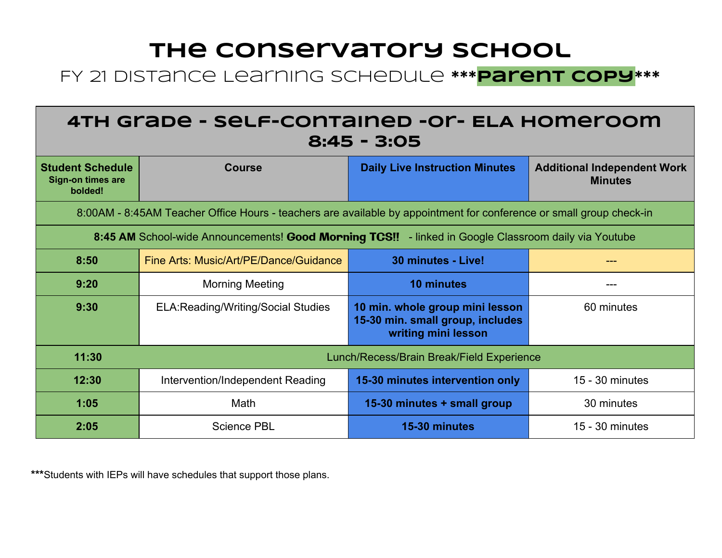#### FY 21 Distance Learning Schedule **\*\*\*parent copy\*\*\***

| 4TH Grade - Self-contained -or- ELA Homeroom<br>$8:45 - 3:05$                                        |                                                                                                                     |                                                                                            |                                                      |  |
|------------------------------------------------------------------------------------------------------|---------------------------------------------------------------------------------------------------------------------|--------------------------------------------------------------------------------------------|------------------------------------------------------|--|
| <b>Student Schedule</b><br>Sign-on times are<br>bolded!                                              | <b>Course</b>                                                                                                       | <b>Daily Live Instruction Minutes</b>                                                      | <b>Additional Independent Work</b><br><b>Minutes</b> |  |
|                                                                                                      | 8:00AM - 8:45AM Teacher Office Hours - teachers are available by appointment for conference or small group check-in |                                                                                            |                                                      |  |
| 8:45 AM School-wide Announcements! Good Morning TCS!! - linked in Google Classroom daily via Youtube |                                                                                                                     |                                                                                            |                                                      |  |
| 8:50                                                                                                 | Fine Arts: Music/Art/PE/Dance/Guidance                                                                              | 30 minutes - Live!                                                                         |                                                      |  |
| 9:20                                                                                                 | <b>Morning Meeting</b>                                                                                              | <b>10 minutes</b>                                                                          | ---                                                  |  |
| 9:30                                                                                                 | <b>ELA: Reading/Writing/Social Studies</b>                                                                          | 10 min. whole group mini lesson<br>15-30 min. small group, includes<br>writing mini lesson | 60 minutes                                           |  |
| 11:30<br>Lunch/Recess/Brain Break/Field Experience                                                   |                                                                                                                     |                                                                                            |                                                      |  |
| 12:30                                                                                                | Intervention/Independent Reading                                                                                    | 15-30 minutes intervention only                                                            | 15 - 30 minutes                                      |  |
| 1:05                                                                                                 | Math                                                                                                                | 15-30 minutes + small group                                                                | 30 minutes                                           |  |
| 2:05                                                                                                 | <b>Science PBL</b>                                                                                                  | 15-30 minutes                                                                              | 15 - 30 minutes                                      |  |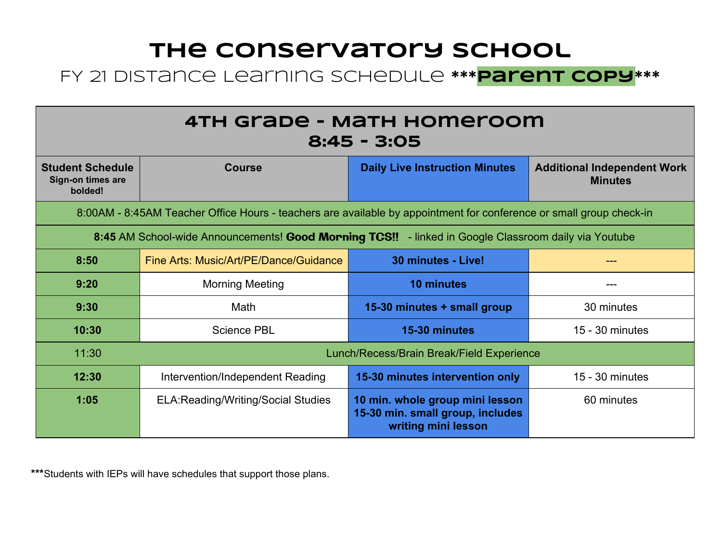#### FY 21 Distance Learning Schedule **\*\*\*Parent copy\*\*\***

| 4TH Grade - Math Homeroom<br>$8:45 - 3:05$                                                           |                                                                                                                     |                                                                                            |                                                      |  |
|------------------------------------------------------------------------------------------------------|---------------------------------------------------------------------------------------------------------------------|--------------------------------------------------------------------------------------------|------------------------------------------------------|--|
| <b>Student Schedule</b><br>Sign-on times are<br>bolded!                                              | <b>Course</b>                                                                                                       | <b>Daily Live Instruction Minutes</b>                                                      | <b>Additional Independent Work</b><br><b>Minutes</b> |  |
|                                                                                                      | 8:00AM - 8:45AM Teacher Office Hours - teachers are available by appointment for conference or small group check-in |                                                                                            |                                                      |  |
| 8:45 AM School-wide Announcements! Good Morning TCS!! - linked in Google Classroom daily via Youtube |                                                                                                                     |                                                                                            |                                                      |  |
| 8:50                                                                                                 | Fine Arts: Music/Art/PE/Dance/Guidance                                                                              | 30 minutes - Live!                                                                         |                                                      |  |
| 9:20                                                                                                 | <b>Morning Meeting</b>                                                                                              | <b>10 minutes</b>                                                                          | ---                                                  |  |
| 9:30                                                                                                 | Math                                                                                                                | 15-30 minutes + small group                                                                | 30 minutes                                           |  |
| 10:30                                                                                                | <b>Science PBL</b>                                                                                                  | 15-30 minutes                                                                              | $15 - 30$ minutes                                    |  |
| 11:30                                                                                                |                                                                                                                     | Lunch/Recess/Brain Break/Field Experience                                                  |                                                      |  |
| 12:30                                                                                                | Intervention/Independent Reading                                                                                    | 15-30 minutes intervention only                                                            | 15 - 30 minutes                                      |  |
| 1:05                                                                                                 | <b>ELA: Reading/Writing/Social Studies</b>                                                                          | 10 min. whole group mini lesson<br>15-30 min. small group, includes<br>writing mini lesson | 60 minutes                                           |  |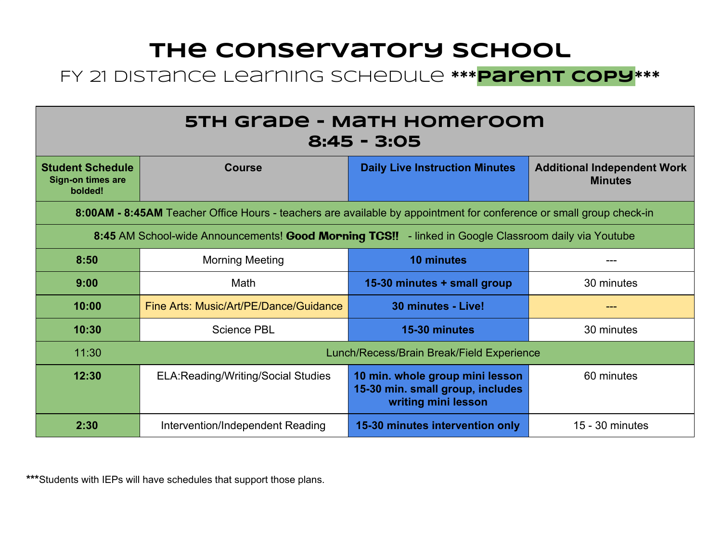#### FY 21 Distance Learning Schedule **\*\*\*parent copy\*\*\***

| 5TH Grade - Math Homeroom<br>$8:45 - 3:05$                                                                          |                                            |                                                                                            |                                                      |  |
|---------------------------------------------------------------------------------------------------------------------|--------------------------------------------|--------------------------------------------------------------------------------------------|------------------------------------------------------|--|
| <b>Student Schedule</b><br><b>Sign-on times are</b><br>bolded!                                                      | <b>Course</b>                              | <b>Daily Live Instruction Minutes</b>                                                      | <b>Additional Independent Work</b><br><b>Minutes</b> |  |
| 8:00AM - 8:45AM Teacher Office Hours - teachers are available by appointment for conference or small group check-in |                                            |                                                                                            |                                                      |  |
| 8:45 AM School-wide Announcements! Good Morning TCS!! - linked in Google Classroom daily via Youtube                |                                            |                                                                                            |                                                      |  |
| 8:50                                                                                                                | <b>Morning Meeting</b>                     | <b>10 minutes</b>                                                                          |                                                      |  |
| 9:00                                                                                                                | Math                                       | 15-30 minutes + small group                                                                | 30 minutes                                           |  |
| 10:00                                                                                                               | Fine Arts: Music/Art/PE/Dance/Guidance     | 30 minutes - Live!                                                                         | ---                                                  |  |
| 10:30                                                                                                               | <b>Science PBL</b>                         | 15-30 minutes                                                                              | 30 minutes                                           |  |
| 11:30                                                                                                               |                                            | Lunch/Recess/Brain Break/Field Experience                                                  |                                                      |  |
| 12:30                                                                                                               | <b>ELA: Reading/Writing/Social Studies</b> | 10 min. whole group mini lesson<br>15-30 min. small group, includes<br>writing mini lesson | 60 minutes                                           |  |
| 2:30                                                                                                                | Intervention/Independent Reading           | 15-30 minutes intervention only                                                            | $15 - 30$ minutes                                    |  |